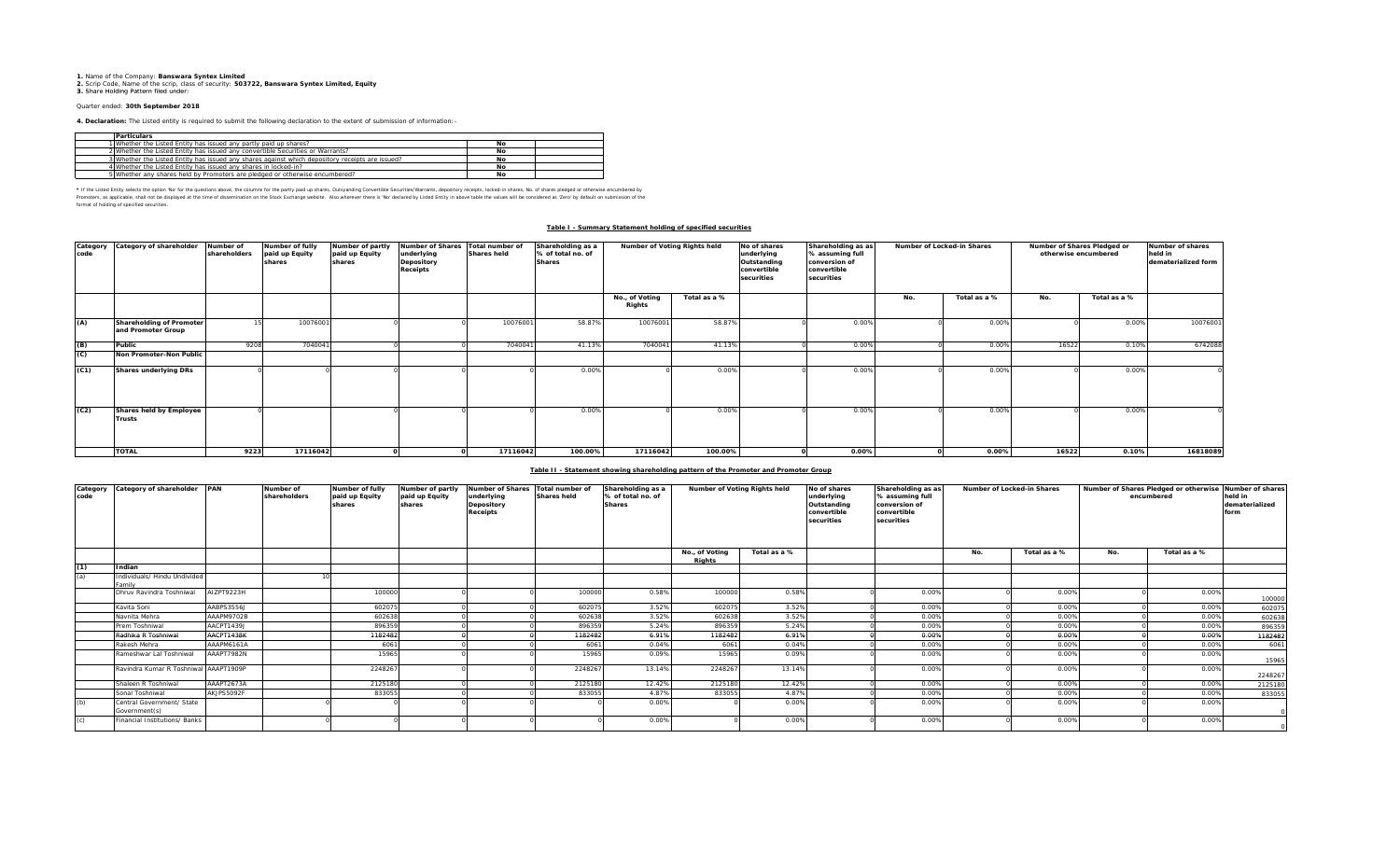# **1.** Name of the Company: **Banswara Syntex Limited 2.** Scrip Code, Name of the scrip, class of security: **503722, Banswara Syntex Limited, Equity 3.** Share Holding Pattern filed under:

## Quarter ended: **30th September 2018**

**4. Declaration:** The Listed entity is required to submit the following declaration to the extent of submission of information:-

| <b>Particulars</b>                                                                              |    |  |
|-------------------------------------------------------------------------------------------------|----|--|
| 1 Whether the Listed Entity has issued any partly paid up shares?                               | Nο |  |
| 2 Whether the Listed Entity has issued any convertible Securities or Warrants?                  | No |  |
| 3 Whether the Listed Entity has issued any shares against which depository receipts are issued? | Nο |  |
| 4 Whether the Listed Entity has issued any shares in locked-in?                                 | No |  |
| 5 Whether any shares held by Promoters are pledged or otherwise encumbered?                     | Nο |  |

\* If the Listed Ently selects the optom War for the educations about, the outurns for the partly pid up shares, Outsyanding Corwerlibe Securities/Warrants, depository receipts, locked in shares, No. of shares piedged or ot

format of holding of specified securities.

### **Table I - Summary Statement holding of specified securities**

| Category<br>code | Category of shareholder                               | Number of<br>shareholders | Number of fully<br>paid up Equity<br>shares | Number of partly<br>paid up Equity<br>shares | Number of Shares Total number of<br>underlying<br>Depository<br>Receipts | <b>Shares held</b> | Shareholding as a<br>% of total no, of<br><b>Shares</b> |                          | Number of Voting Rights held<br>Shareholding as as<br>No of shares<br>% assuming full<br>underlying<br>Outstanding<br>conversion of<br>convertible<br>convertible<br>securities<br>securities |  | Number of Locked-in Shares |     | Number of Shares Pledged or<br>otherwise encumbered | Number of shares<br>held in<br>dematerialized form |              |          |
|------------------|-------------------------------------------------------|---------------------------|---------------------------------------------|----------------------------------------------|--------------------------------------------------------------------------|--------------------|---------------------------------------------------------|--------------------------|-----------------------------------------------------------------------------------------------------------------------------------------------------------------------------------------------|--|----------------------------|-----|-----------------------------------------------------|----------------------------------------------------|--------------|----------|
|                  |                                                       |                           |                                             |                                              |                                                                          |                    |                                                         | No., of Voting<br>Rights | Total as a %                                                                                                                                                                                  |  |                            | No. | Total as a %                                        | No.                                                | Total as a % |          |
| (A)              | <b>Shareholding of Promoter</b><br>and Promoter Group |                           | 10076001                                    |                                              |                                                                          | 10076001           | 58.87%                                                  | 10076001                 | 58.87%                                                                                                                                                                                        |  | 0.00%                      |     | 0.00%                                               |                                                    | 0.00%        | 10076001 |
| (B)              | Public                                                | 9208                      | 7040041                                     |                                              |                                                                          | 7040041            | 41.13%                                                  | 7040041                  | 41.13%                                                                                                                                                                                        |  | 0.00%                      |     | 0.00%                                               | 16522                                              | 0.10%        | 6742088  |
| $\mathcal{C}$    | Non Promoter-Non Public                               |                           |                                             |                                              |                                                                          |                    |                                                         |                          |                                                                                                                                                                                               |  |                            |     |                                                     |                                                    |              |          |
| (C1)             | <b>Shares underlying DRs</b>                          |                           |                                             |                                              |                                                                          |                    | 0.00%                                                   |                          | 0.00%                                                                                                                                                                                         |  | 0.00%                      |     | 0.00%                                               |                                                    | 0.00%        |          |
| (C2)             | Shares held by Employee<br><b>Trusts</b>              |                           |                                             |                                              |                                                                          |                    | 0.00%                                                   |                          | 0.00%                                                                                                                                                                                         |  | 0.00%                      |     | 0.00%                                               |                                                    | 0.00%        |          |
|                  | <b>TOTAL</b>                                          | 9223                      | 17116042                                    |                                              |                                                                          | 17116042           | 100.00%                                                 | 17116042                 | 100.00%                                                                                                                                                                                       |  | 0.00%                      |     | 0.00%                                               | 16522                                              | 0.10%        | 16818089 |

#### **Table II - Statement showing shareholding pattern of the Promoter and Promoter Group**

| Category<br>code | Category of shareholder PAN                |            | Number of<br>shareholders | <b>Number of fully</b><br>paid up Equity<br>shares | Number of partly<br>paid up Equity<br>shares | <b>Number of Shares</b><br>underlying<br>Depository<br>Receipts | Total number of<br><b>Shares held</b> | Shareholding as a<br>% of total no. of<br><b>Shares</b> | Number of Voting Rights held |              | No of shares<br>underlying<br>Outstanding<br>convertible<br>securities | Shareholding as as<br>% assuming full<br>conversion of<br>convertible<br>securities | Number of Locked-in Shares |              | Number of Shares Pledged or otherwise Number of shares<br>encumbered |              | held in<br>dematerialized<br>form |
|------------------|--------------------------------------------|------------|---------------------------|----------------------------------------------------|----------------------------------------------|-----------------------------------------------------------------|---------------------------------------|---------------------------------------------------------|------------------------------|--------------|------------------------------------------------------------------------|-------------------------------------------------------------------------------------|----------------------------|--------------|----------------------------------------------------------------------|--------------|-----------------------------------|
|                  |                                            |            |                           |                                                    |                                              |                                                                 |                                       |                                                         | No., of Voting<br>Rights     | Total as a % |                                                                        |                                                                                     | No.                        | Total as a % | No.                                                                  | Total as a % |                                   |
| (1)              | Indian                                     |            |                           |                                                    |                                              |                                                                 |                                       |                                                         |                              |              |                                                                        |                                                                                     |                            |              |                                                                      |              |                                   |
| (a)              | Individuals/ Hindu Undivided<br>amily      |            |                           |                                                    |                                              |                                                                 |                                       |                                                         |                              |              |                                                                        |                                                                                     |                            |              |                                                                      |              |                                   |
|                  | Dhruv Ravindra Toshniwal                   | AIZPT9223H |                           | 100000                                             |                                              |                                                                 | 100000                                | 0.58%                                                   | 100000                       | 0.58%        |                                                                        | 0.00%                                                                               |                            | 0.00%        |                                                                      | 0.00%        | 100000                            |
|                  | Kavita Soni                                | AABPS3556J |                           | 602075                                             |                                              |                                                                 | 602075                                | 3.52%                                                   | 60207                        | 3.52%        |                                                                        | 0.00%                                                                               |                            | 0.00%        |                                                                      | 0.00%        | 60207                             |
|                  | Navnita Mehra                              | AAAPM9702B |                           | 602638                                             |                                              |                                                                 | 602638                                | 3.52%                                                   | 602638                       | 3.52%        |                                                                        | 0.00%                                                                               |                            | 0.00%        |                                                                      | 0.00%        | 60263                             |
|                  | Prem Toshniwal                             | AACPT1439J |                           | 896359                                             |                                              |                                                                 | 896359                                | 5.24%                                                   | 89635                        | 5.24%        |                                                                        | 0.00%                                                                               |                            | 0.00%        |                                                                      | 0.00%        | 89635                             |
|                  | Radhika R Toshniwal                        | AACPT1438K |                           | 1182482                                            |                                              |                                                                 | 1182482                               | 6.91%                                                   | 118248                       | 6.91%        |                                                                        | 0.00%                                                                               |                            | 0.00%        |                                                                      | 0.00%        | 1182482                           |
|                  | Rakesh Mehra                               | AAAPM6161A |                           | 6061                                               |                                              |                                                                 | 6061                                  | 0.04%                                                   | 6061                         | 0.04%        |                                                                        | 0.00%                                                                               |                            | 0.00%        |                                                                      | 0.00%        | 606                               |
|                  | Rameshwar Lal Toshniwal                    | AAAPT7982N |                           | 15965                                              |                                              |                                                                 | 15965                                 | 0.09%                                                   | 15965                        | 0.09%        |                                                                        | 0.00%                                                                               |                            | 0.00%        |                                                                      | 0.00%        | 15965                             |
|                  | Ravindra Kumar R Toshniwal AAAPT1909P      |            |                           | 224826                                             |                                              |                                                                 | 224826                                | 13.14%                                                  | 224826                       | 13.14%       |                                                                        | 0.00%                                                                               |                            | 0.00%        |                                                                      | 0.00%        | 2248267                           |
|                  | Shaleen R Toshniwal                        | AAAPT2673A |                           | 2125180                                            |                                              |                                                                 | 2125180                               | 12.42%                                                  | 2125180                      | 12.42%       |                                                                        | 0.00%                                                                               |                            | 0.00%        |                                                                      | 0.00%        | 212518                            |
|                  | Sonal Toshniwal                            | AKJPS5092F |                           | 833055                                             |                                              |                                                                 | 833055                                | 4.87%                                                   | 83305                        | 4.87%        |                                                                        | 0.00%                                                                               |                            | 0.00%        |                                                                      | 0.00%        | 83305                             |
| (b)              | Central Government/ State<br>Government(s) |            |                           |                                                    |                                              |                                                                 |                                       | 0.00%                                                   |                              | 0.00%        |                                                                        | 0.00%                                                                               |                            | 0.00%        |                                                                      | 0.00%        |                                   |
| (c)              | Financial Institutions/ Banks              |            |                           |                                                    |                                              |                                                                 |                                       | 0.00%                                                   |                              | 0.00%        |                                                                        | 0.00%                                                                               |                            | 0.00%        |                                                                      | 0.00%        |                                   |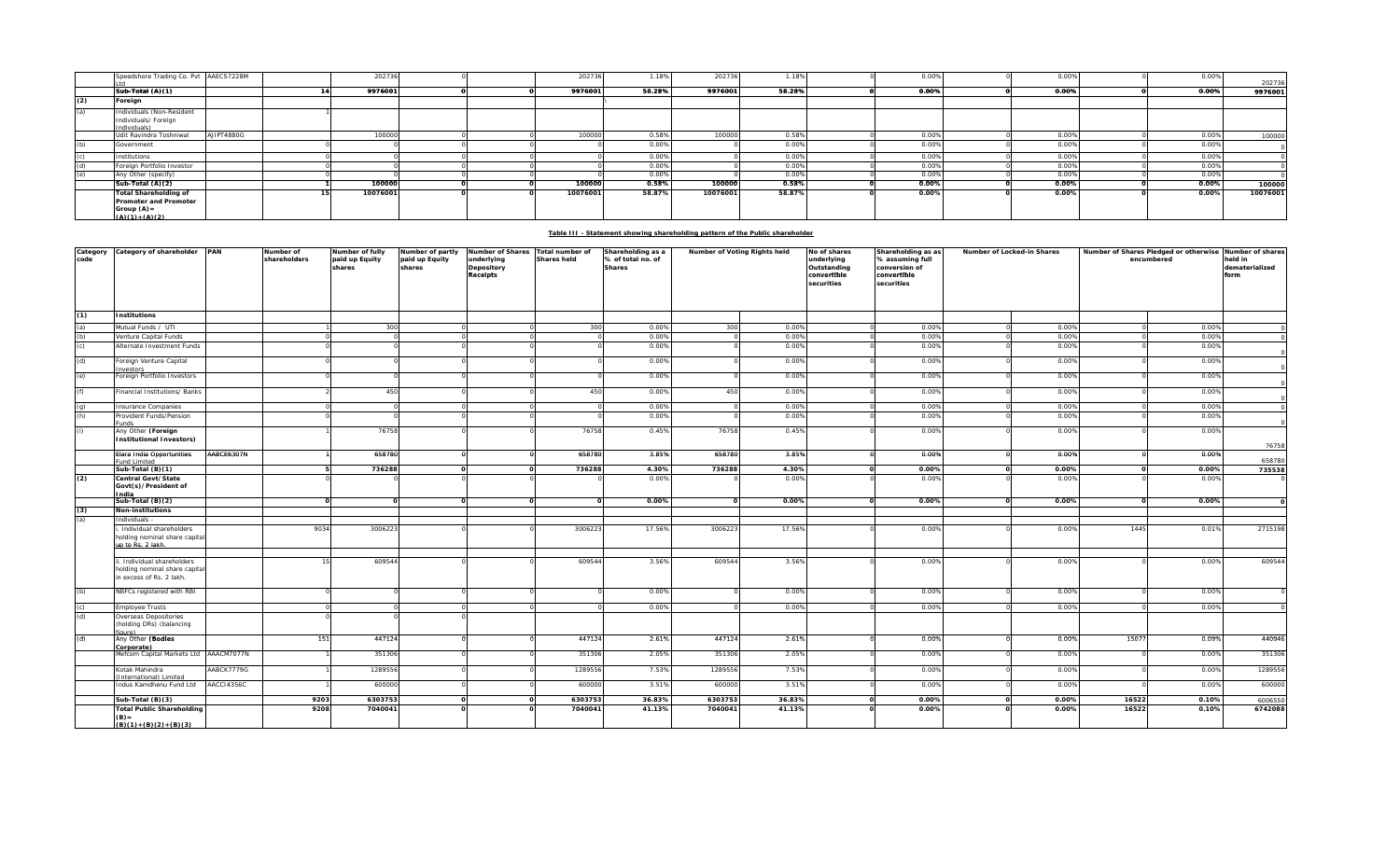|     | Speedshore Trading Co. Pvt AAECS7228M                                                     |            | 202736   |  | 202736   | 1.18%  | 202736   | 1.18%  | 0.00% | 0.00% | 0.00% | 202736   |
|-----|-------------------------------------------------------------------------------------------|------------|----------|--|----------|--------|----------|--------|-------|-------|-------|----------|
|     | Sub-Total (A)(1)                                                                          |            | 9976001  |  | 9976001  | 58.28% | 9976001  | 58.28% | 0.00% | 0.00% | 0.00% | 9976001  |
| (2) | Foreign                                                                                   |            |          |  |          |        |          |        |       |       |       |          |
| (a) | Individuals (Non-Resident<br>Individuals/ Foreign<br>Individuals)                         |            |          |  |          |        |          |        |       |       |       |          |
|     | Udit Ravindra Toshniwal                                                                   | AJIPT4880G | 100000   |  | 100000   | 0.58%  | 100000   | 0.58%  | 0.00% | 0.00% | 0.00% | 100000   |
| (b) | Government                                                                                |            |          |  |          | 0.00%  |          | 0.00%  | 0.009 | 0.00% | 0.009 |          |
| (c) | Institutions                                                                              |            |          |  |          | 0.00%  |          | 0.00%  | 0.009 | 0.00% | 0.009 |          |
| (d) | Foreign Portfolio Investor                                                                |            |          |  |          | 0.00%  |          | 0.00%  | 0.00% | 0.00% | 0.00% |          |
| (e) | Any Other (specify)                                                                       |            |          |  |          | 0.00%  |          | 0.00%  | 0.00% | 0.00% | 0.00% |          |
|     | Sub-Total (A)(2)                                                                          |            | 100000   |  | 100000   | 0.58%  | 100000   | 0.58%  | 0.00% | 0.00% | 0.00% | 100000   |
|     | <b>Total Shareholding of</b><br>Promoter and Promoter<br>Group $(A)$ =<br>$(A)(1)+(A)(2)$ |            | 10076001 |  | 10076001 | 58.87% | 10076001 | 58.87% | 0.00% | 0.00% | 0.00% | 10076001 |

### **Table III - Statement showing shareholding pattern of the Public shareholder**

| Category<br>code | Category of shareholder                                                                | PAN        | Number of<br>shareholders | Number of fully<br>paid up Equity<br>shares | Number of partly<br>paid up Equity<br>shares | Number of Shares<br>underlying<br>Depository<br>Receipts | Total number of<br><b>Shares held</b> | Shareholding as a<br>% of total no. of<br><b>Shares</b> | Number of Voting Rights held |        | No of shares<br>underlying<br>Outstanding<br>convertible<br>securities | Shareholding as as<br>% assuming full<br>conversion of<br>convertible<br>securities | Number of Locked-in Shares |       | Number of Shares Pledged or otherwise<br>encumbered |       | Number of shares<br>held in<br>dematerialized<br>form |  |
|------------------|----------------------------------------------------------------------------------------|------------|---------------------------|---------------------------------------------|----------------------------------------------|----------------------------------------------------------|---------------------------------------|---------------------------------------------------------|------------------------------|--------|------------------------------------------------------------------------|-------------------------------------------------------------------------------------|----------------------------|-------|-----------------------------------------------------|-------|-------------------------------------------------------|--|
| (1)              | <b>Institutions</b>                                                                    |            |                           |                                             |                                              |                                                          |                                       |                                                         |                              |        |                                                                        |                                                                                     |                            |       |                                                     |       |                                                       |  |
| (a)              | Mutual Funds / UTI                                                                     |            |                           | 300                                         |                                              |                                                          | 300                                   | 0.009                                                   | 300                          | 0.00%  |                                                                        | 0.009                                                                               |                            | 0.00% |                                                     | 0.00% |                                                       |  |
| (b)              | /enture Capital Funds                                                                  |            |                           |                                             |                                              |                                                          |                                       | 0.009                                                   |                              | 0.00%  |                                                                        | 0.009                                                                               |                            | 0.009 |                                                     | 0.00% |                                                       |  |
| (c)              | Alternate Investment Funds                                                             |            |                           |                                             |                                              |                                                          |                                       | 0.009                                                   |                              | 0.00%  |                                                                        | 0.009                                                                               |                            | 0.00% |                                                     | 0.00% |                                                       |  |
| (d)              | Foreign Venture Capital<br>nvestors                                                    |            |                           |                                             |                                              |                                                          |                                       | 0.00%                                                   |                              | 0.00%  |                                                                        | 0.00%                                                                               |                            | 0.00% |                                                     | 0.00% |                                                       |  |
| (e)              | Foreign Portfolio Investors                                                            |            |                           |                                             |                                              |                                                          |                                       | 0.00%                                                   |                              | 0.00%  |                                                                        | 0.00%                                                                               |                            | 0.00% |                                                     | 0.00% |                                                       |  |
| (f)              | Financial Institutions/ Banks                                                          |            |                           | 450                                         |                                              |                                                          | 450                                   | 0.00%                                                   | 450                          | 0.00%  |                                                                        | 0.009                                                                               |                            | 0.00% |                                                     | 0.00% |                                                       |  |
| $\frac{g}{h}$    | <b>Insurance Companies</b>                                                             |            |                           |                                             |                                              |                                                          |                                       | 0.009                                                   |                              | 0.00%  |                                                                        | 0.009                                                                               |                            | 0.00% |                                                     | 0.00% |                                                       |  |
|                  | Provident Funds/Pension                                                                |            |                           |                                             |                                              |                                                          |                                       | 0.00%                                                   |                              | 0.00%  |                                                                        | 0.009                                                                               |                            | 0.00% |                                                     | 0.00% |                                                       |  |
| (i)              | Any Other (Foreign<br><b>Institutional Investors)</b>                                  |            |                           | 76758                                       |                                              |                                                          | 76758                                 | 0.45%                                                   | 76758                        | 0.45%  |                                                                        | 0.00%                                                                               |                            | 0.00% |                                                     | 0.00% | 76758                                                 |  |
|                  | Elara India Opportunities<br>und Limited                                               | AABCE6307N |                           | 658780                                      |                                              |                                                          | 658780                                | 3.85%                                                   | 658780                       | 3.85%  |                                                                        | 0.00%                                                                               |                            | 0.00% |                                                     | 0.00% | 658780                                                |  |
|                  | Sub-Total (B)(1)                                                                       |            |                           | 736288                                      |                                              |                                                          | 736288                                | 4.30%                                                   | 736288                       | 4.30%  |                                                                        | 0.00%                                                                               | $\Omega$                   | 0.00% |                                                     | 0.00% | 735538                                                |  |
| (2)              | Central Govt/State<br>Govt(s)/President of<br>India                                    |            |                           |                                             |                                              |                                                          |                                       | 0.00%                                                   |                              | 0.00%  |                                                                        | 0.00%                                                                               |                            | 0.00% |                                                     | 0.00% |                                                       |  |
|                  | Sub-Total (B)(2)                                                                       |            |                           | $\Omega$                                    |                                              |                                                          | $\circ$                               | 0.00%                                                   | $\mathbf{o}$                 | 0.00%  |                                                                        | 0.00%                                                                               | $\Omega$                   | 0.00% | $\Omega$                                            | 0.00% |                                                       |  |
| (3)              | <b>Non-institutions</b>                                                                |            |                           |                                             |                                              |                                                          |                                       |                                                         |                              |        |                                                                        |                                                                                     |                            |       |                                                     |       |                                                       |  |
| (a)              | Individuals<br>Individual shareholders                                                 |            | 9034                      | 3006223                                     |                                              |                                                          | 300622                                | 17.56%                                                  | 3006223                      | 17.56% |                                                                        | 0.009                                                                               |                            | 0.00% | 1445                                                | 0.01% | 2715198                                               |  |
|                  | holding nominal share capital<br>up to Rs. 2 lakh.                                     |            |                           |                                             |                                              |                                                          |                                       |                                                         |                              |        |                                                                        |                                                                                     |                            |       |                                                     |       |                                                       |  |
|                  | . Individual shareholders<br>holding nominal share capital<br>in excess of Rs. 2 lakh. |            |                           | 609544                                      |                                              |                                                          | 609544                                | 3.56%                                                   | 609544                       | 3.56%  |                                                                        | 0.009                                                                               |                            | 0.00% |                                                     | 0.00% | 609544                                                |  |
| (b)              | NBFCs registered with RBI                                                              |            |                           |                                             |                                              |                                                          |                                       | 0.00%                                                   |                              | 0.00%  |                                                                        | 0.00%                                                                               |                            | 0.00% |                                                     | 0.00% |                                                       |  |
| (c)              | <b>Employee Trusts</b>                                                                 |            |                           |                                             |                                              |                                                          |                                       | 0.00%                                                   |                              | 0.00%  |                                                                        | 0.00%                                                                               |                            | 0.00% |                                                     | 0.00% |                                                       |  |
| (d)              | Overseas Depositories<br>(holding DRs) (balancing<br>(eu mi                            |            |                           |                                             |                                              |                                                          |                                       |                                                         |                              |        |                                                                        |                                                                                     |                            |       |                                                     |       |                                                       |  |
| (d)              | Any Other (Bodies<br>Corporate)                                                        |            | 151                       | 447124                                      |                                              |                                                          | 447124                                | 2.61%                                                   | 447124                       | 2.61%  |                                                                        | 0.00%                                                                               |                            | 0.00% | 15077                                               | 0.09% | 440946                                                |  |
|                  | Mefcom Capital Markets Ltd AAACM7077N                                                  |            |                           | 351306                                      |                                              |                                                          | 351306                                | 2.059                                                   | 351306                       | 2.05%  |                                                                        | 0.00%                                                                               |                            | 0.00% |                                                     | 0.00% | 351306                                                |  |
|                  | Kotak Mahindra<br>International) Limited                                               | AABCK7779G |                           | 1289556                                     |                                              |                                                          | 1289556                               | 7.53%                                                   | 1289556                      | 7.53%  |                                                                        | 0.00%                                                                               |                            | 0.00% |                                                     | 0.00% | 1289556                                               |  |
|                  | Indus Kamdhenu Fund Ltd                                                                | AACC14356C |                           | 600000                                      |                                              |                                                          | 600000                                | 3.51%                                                   | 600000                       | 3.51%  |                                                                        | 0.00%                                                                               |                            | 0.00% |                                                     | 0.00% | 600000                                                |  |
|                  | Sub-Total (B)(3)                                                                       |            | 9203                      | 6303753                                     |                                              |                                                          | 6303753                               | 36.83%                                                  | 6303753                      | 36.83% |                                                                        | 0.00%                                                                               |                            | 0.00% | 16522                                               | 0.10% | 600655C                                               |  |
|                  | <b>Total Public Shareholding</b><br>$(B) =$                                            |            | 9208                      | 7040041                                     |                                              |                                                          | 7040041                               | 41.13%                                                  | 7040041                      | 41.13% |                                                                        | 0.00%                                                                               |                            | 0.00% | 16522                                               | 0.10% | 6742088                                               |  |
|                  | $(B)(1)+(B)(2)+(B)(3)$                                                                 |            |                           |                                             |                                              |                                                          |                                       |                                                         |                              |        |                                                                        |                                                                                     |                            |       |                                                     |       |                                                       |  |